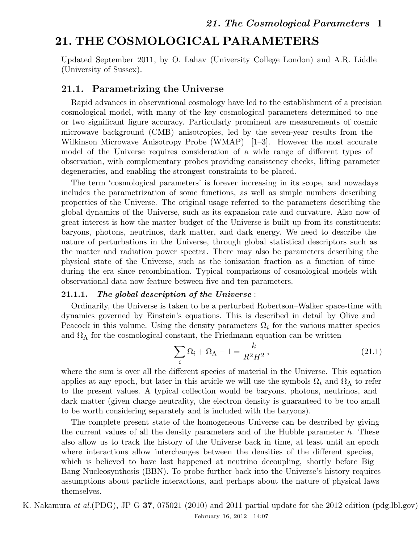# 21. THE COSMOLOGICAL PARAMETERS

Updated September 2011, by O. Lahav (University College London) and A.R. Liddle (University of Sussex).

## 21.1. Parametrizing the Universe

Rapid advances in observational cosmology have led to the establishment of a precision cosmological model, with many of the key cosmological parameters determined to one or two significant figure accuracy. Particularly prominent are measurements of cosmic microwave background (CMB) anisotropies, led by the seven-year results from the Wilkinson Microwave Anisotropy Probe (WMAP) [1–3]. However the most accurate model of the Universe requires consideration of a wide range of different types of observation, with complementary probes providing consistency checks, lifting parameter degeneracies, and enabling the strongest constraints to be placed.

The term 'cosmological parameters' is forever increasing in its scope, and nowadays includes the parametrization of some functions, as well as simple numbers describing properties of the Universe. The original usage referred to the parameters describing the global dynamics of the Universe, such as its expansion rate and curvature. Also now of great interest is how the matter budget of the Universe is built up from its constituents: baryons, photons, neutrinos, dark matter, and dark energy. We need to describe the nature of perturbations in the Universe, through global statistical descriptors such as the matter and radiation power spectra. There may also be parameters describing the physical state of the Universe, such as the ionization fraction as a function of time during the era since recombination. Typical comparisons of cosmological models with observational data now feature between five and ten parameters.

#### 21.1.1. The global description of the Universe :

Ordinarily, the Universe is taken to be a perturbed Robertson–Walker space-time with dynamics governed by Einstein's equations. This is described in detail by Olive and Peacock in this volume. Using the density parameters  $\Omega_i$  for the various matter species and  $\Omega_{\Lambda}$  for the cosmological constant, the Friedmann equation can be written

$$
\sum_{i} \Omega_i + \Omega_{\Lambda} - 1 = \frac{k}{R^2 H^2},\tag{21.1}
$$

where the sum is over all the different species of material in the Universe. This equation applies at any epoch, but later in this article we will use the symbols  $\Omega_i$  and  $\Omega_{\Lambda}$  to refer to the present values. A typical collection would be baryons, photons, neutrinos, and dark matter (given charge neutrality, the electron density is guaranteed to be too small to be worth considering separately and is included with the baryons).

The complete present state of the homogeneous Universe can be described by giving the current values of all the density parameters and of the Hubble parameter  $h$ . These also allow us to track the history of the Universe back in time, at least until an epoch where interactions allow interchanges between the densities of the different species, which is believed to have last happened at neutrino decoupling, shortly before Big Bang Nucleosynthesis (BBN). To probe further back into the Universe's history requires assumptions about particle interactions, and perhaps about the nature of physical laws themselves.

K. Nakamura *et al.*(PDG), JP G 37, 075021 (2010) and 2011 partial update for the 2012 edition (pdg.lbl.gov) February 16, 2012 14:07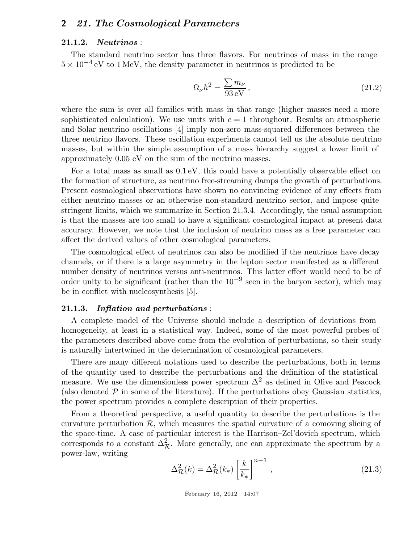#### 21.1.2. Neutrinos :

The standard neutrino sector has three flavors. For neutrinos of mass in the range  $5 \times 10^{-4}$  eV to 1 MeV, the density parameter in neutrinos is predicted to be

$$
\Omega_{\nu}h^2 = \frac{\sum m_{\nu}}{93 \,\text{eV}}\,,\tag{21.2}
$$

where the sum is over all families with mass in that range (higher masses need a more sophisticated calculation). We use units with  $c = 1$  throughout. Results on atmospheric and Solar neutrino oscillations [4] imply non-zero mass-squared differences between the three neutrino flavors. These oscillation experiments cannot tell us the absolute neutrino masses, but within the simple assumption of a mass hierarchy suggest a lower limit of approximately 0.05 eV on the sum of the neutrino masses.

For a total mass as small as 0.1 eV, this could have a potentially observable effect on the formation of structure, as neutrino free-streaming damps the growth of perturbations. Present cosmological observations have shown no convincing evidence of any effects from either neutrino masses or an otherwise non-standard neutrino sector, and impose quite stringent limits, which we summarize in Section 21.3.4. Accordingly, the usual assumption is that the masses are too small to have a significant cosmological impact at present data accuracy. However, we note that the inclusion of neutrino mass as a free parameter can affect the derived values of other cosmological parameters.

The cosmological effect of neutrinos can also be modified if the neutrinos have decay channels, or if there is a large asymmetry in the lepton sector manifested as a different number density of neutrinos versus anti-neutrinos. This latter effect would need to be of order unity to be significant (rather than the  $10^{-9}$  seen in the baryon sector), which may be in conflict with nucleosynthesis [5].

#### 21.1.3. Inflation and perturbations :

A complete model of the Universe should include a description of deviations from homogeneity, at least in a statistical way. Indeed, some of the most powerful probes of the parameters described above come from the evolution of perturbations, so their study is naturally intertwined in the determination of cosmological parameters.

There are many different notations used to describe the perturbations, both in terms of the quantity used to describe the perturbations and the definition of the statistical measure. We use the dimensionless power spectrum  $\Delta^2$  as defined in Olive and Peacock (also denoted  $P$  in some of the literature). If the perturbations obey Gaussian statistics, the power spectrum provides a complete description of their properties.

From a theoretical perspective, a useful quantity to describe the perturbations is the curvature perturbation  $\mathcal{R}$ , which measures the spatial curvature of a comoving slicing of the space-time. A case of particular interest is the Harrison–Zel'dovich spectrum, which corresponds to a constant  $\Delta_{\mathcal{R}}^2$ . More generally, one can approximate the spectrum by a power-law, writing

$$
\Delta_{\mathcal{R}}^2(k) = \Delta_{\mathcal{R}}^2(k_*) \left[ \frac{k}{k_*} \right]^{n-1}, \qquad (21.3)
$$

February 16, 2012 14:07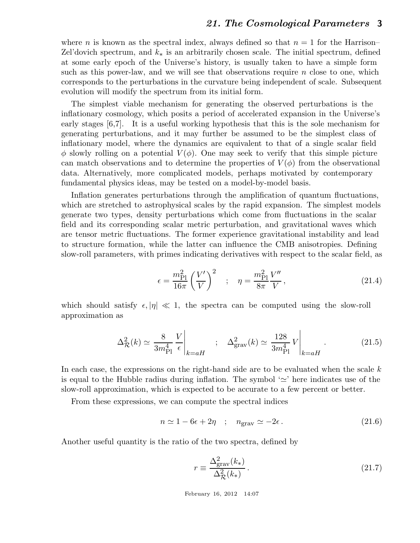where n is known as the spectral index, always defined so that  $n = 1$  for the Harrison– Zel'dovich spectrum, and  $k_*$  is an arbitrarily chosen scale. The initial spectrum, defined at some early epoch of the Universe's history, is usually taken to have a simple form such as this power-law, and we will see that observations require  $n$  close to one, which corresponds to the perturbations in the curvature being independent of scale. Subsequent evolution will modify the spectrum from its initial form.

The simplest viable mechanism for generating the observed perturbations is the inflationary cosmology, which posits a period of accelerated expansion in the Universe's early stages [6,7]. It is a useful working hypothesis that this is the sole mechanism for generating perturbations, and it may further be assumed to be the simplest class of inflationary model, where the dynamics are equivalent to that of a single scalar field  $\phi$  slowly rolling on a potential  $V(\phi)$ . One may seek to verify that this simple picture can match observations and to determine the properties of  $V(\phi)$  from the observational data. Alternatively, more complicated models, perhaps motivated by contemporary fundamental physics ideas, may be tested on a model-by-model basis.

Inflation generates perturbations through the amplification of quantum fluctuations, which are stretched to astrophysical scales by the rapid expansion. The simplest models generate two types, density perturbations which come from fluctuations in the scalar field and its corresponding scalar metric perturbation, and gravitational waves which are tensor metric fluctuations. The former experience gravitational instability and lead to structure formation, while the latter can influence the CMB anisotropies. Defining slow-roll parameters, with primes indicating derivatives with respect to the scalar field, as

$$
\epsilon = \frac{m_{\rm Pl}^2}{16\pi} \left(\frac{V'}{V}\right)^2 \quad ; \quad \eta = \frac{m_{\rm Pl}^2}{8\pi} \frac{V''}{V} \,, \tag{21.4}
$$

which should satisfy  $\epsilon, |\eta| \ll 1$ , the spectra can be computed using the slow-roll approximation as

$$
\Delta_{\mathcal{R}}^2(k) \simeq \frac{8}{3m_{\rm Pl}^4} \left. \frac{V}{\epsilon} \right|_{k=aH} \quad ; \quad \Delta_{\rm grav}^2(k) \simeq \frac{128}{3m_{\rm Pl}^4} \left. V \right|_{k=aH} \quad . \tag{21.5}
$$

In each case, the expressions on the right-hand side are to be evaluated when the scale  $k$ is equal to the Hubble radius during inflation. The symbol  $\sim$ ' here indicates use of the slow-roll approximation, which is expected to be accurate to a few percent or better.

From these expressions, we can compute the spectral indices

$$
n \simeq 1 - 6\epsilon + 2\eta \quad ; \quad n_{\text{grav}} \simeq -2\epsilon \,. \tag{21.6}
$$

Another useful quantity is the ratio of the two spectra, defined by

$$
r \equiv \frac{\Delta_{\text{grav}}^2(k_*)}{\Delta_{\mathcal{R}}^2(k_*)} \,. \tag{21.7}
$$

February 16, 2012 14:07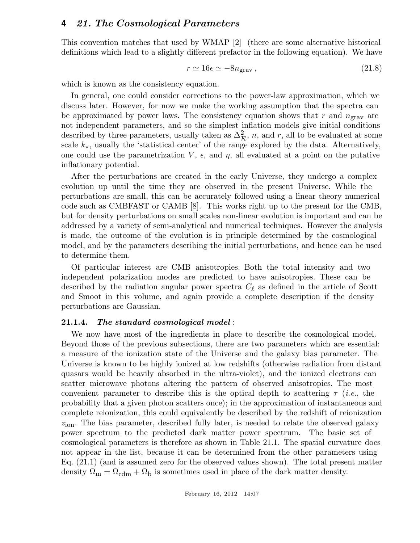This convention matches that used by WMAP [2] (there are some alternative historical definitions which lead to a slightly different prefactor in the following equation). We have

$$
r \simeq 16\epsilon \simeq -8n_{\text{grav}}\,,\tag{21.8}
$$

which is known as the consistency equation.

In general, one could consider corrections to the power-law approximation, which we discuss later. However, for now we make the working assumption that the spectra can be approximated by power laws. The consistency equation shows that  $r$  and  $n_{\text{grav}}$  are not independent parameters, and so the simplest inflation models give initial conditions described by three parameters, usually taken as  $\Delta_{\mathcal{R}}^2$ , n, and r, all to be evaluated at some scale  $k_*,$  usually the 'statistical center' of the range explored by the data. Alternatively, one could use the parametrization V,  $\epsilon$ , and  $\eta$ , all evaluated at a point on the putative inflationary potential.

After the perturbations are created in the early Universe, they undergo a complex evolution up until the time they are observed in the present Universe. While the perturbations are small, this can be accurately followed using a linear theory numerical code such as CMBFAST or CAMB [8]. This works right up to the present for the CMB, but for density perturbations on small scales non-linear evolution is important and can be addressed by a variety of semi-analytical and numerical techniques. However the analysis is made, the outcome of the evolution is in principle determined by the cosmological model, and by the parameters describing the initial perturbations, and hence can be used to determine them.

Of particular interest are CMB anisotropies. Both the total intensity and two independent polarization modes are predicted to have anisotropies. These can be described by the radiation angular power spectra  $C_{\ell}$  as defined in the article of Scott and Smoot in this volume, and again provide a complete description if the density perturbations are Gaussian.

#### 21.1.4. The standard cosmological model :

We now have most of the ingredients in place to describe the cosmological model. Beyond those of the previous subsections, there are two parameters which are essential: a measure of the ionization state of the Universe and the galaxy bias parameter. The Universe is known to be highly ionized at low redshifts (otherwise radiation from distant quasars would be heavily absorbed in the ultra-violet), and the ionized electrons can scatter microwave photons altering the pattern of observed anisotropies. The most convenient parameter to describe this is the optical depth to scattering  $\tau$  (*i.e.*, the probability that a given photon scatters once); in the approximation of instantaneous and complete reionization, this could equivalently be described by the redshift of reionization  $z<sub>ion</sub>$ . The bias parameter, described fully later, is needed to relate the observed galaxy power spectrum to the predicted dark matter power spectrum. The basic set of cosmological parameters is therefore as shown in Table 21.1. The spatial curvature does not appear in the list, because it can be determined from the other parameters using Eq. (21.1) (and is assumed zero for the observed values shown). The total present matter density  $\Omega_{\rm m} = \Omega_{\rm cdm} + \Omega_{\rm b}$  is sometimes used in place of the dark matter density.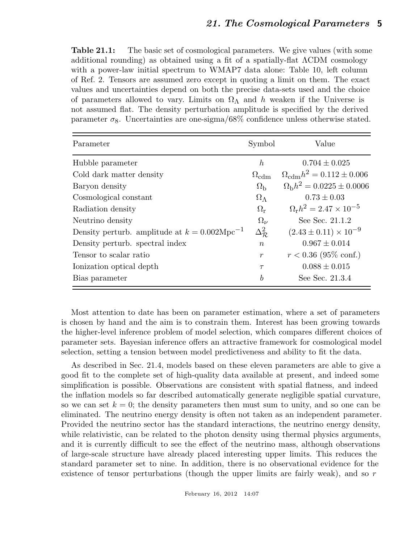Table 21.1: The basic set of cosmological parameters. We give values (with some additional rounding) as obtained using a fit of a spatially-flat ΛCDM cosmology with a power-law initial spectrum to WMAP7 data alone: Table 10, left column of Ref. 2. Tensors are assumed zero except in quoting a limit on them. The exact values and uncertainties depend on both the precise data-sets used and the choice of parameters allowed to vary. Limits on  $\Omega_{\Lambda}$  and h weaken if the Universe is not assumed flat. The density perturbation amplitude is specified by the derived parameter  $\sigma_8$ . Uncertainties are one-sigma/68% confidence unless otherwise stated.

| Parameter                                                 | Symbol              | Value                                   |
|-----------------------------------------------------------|---------------------|-----------------------------------------|
| Hubble parameter                                          | h                   | $0.704 \pm 0.025$                       |
| Cold dark matter density                                  | $\Omega_{\rm cdm}$  | $\Omega_{\rm cdm}h^2 = 0.112 \pm 0.006$ |
| Baryon density                                            | $\Omega_{\rm h}$    | $\Omega_{\rm b}h^2 = 0.0225 \pm 0.0006$ |
| Cosmological constant                                     | $\Omega_{\Lambda}$  | $0.73 \pm 0.03$                         |
| Radiation density                                         | $\Omega_{r}$        | $\Omega_r h^2 = 2.47 \times 10^{-5}$    |
| Neutrino density                                          | $\Omega_{\nu}$      | See Sec. 21.1.2                         |
| Density perturb. amplitude at $k = 0.002 \text{Mpc}^{-1}$ | $\Delta_{\cal R}^2$ | $(2.43 \pm 0.11) \times 10^{-9}$        |
| Density perturb. spectral index                           | $\boldsymbol{n}$    | $0.967 \pm 0.014$                       |
| Tensor to scalar ratio                                    | $\boldsymbol{r}$    | $r < 0.36$ (95\% conf.)                 |
| Ionization optical depth                                  | $\tau$              | $0.088 \pm 0.015$                       |
| Bias parameter                                            | $\boldsymbol{b}$    | See Sec. 21.3.4                         |

Most attention to date has been on parameter estimation, where a set of parameters is chosen by hand and the aim is to constrain them. Interest has been growing towards the higher-level inference problem of model selection, which compares different choices of parameter sets. Bayesian inference offers an attractive framework for cosmological model selection, setting a tension between model predictiveness and ability to fit the data.

As described in Sec. 21.4, models based on these eleven parameters are able to give a good fit to the complete set of high-quality data available at present, and indeed some simplification is possible. Observations are consistent with spatial flatness, and indeed the inflation models so far described automatically generate negligible spatial curvature, so we can set  $k = 0$ ; the density parameters then must sum to unity, and so one can be eliminated. The neutrino energy density is often not taken as an independent parameter. Provided the neutrino sector has the standard interactions, the neutrino energy density, while relativistic, can be related to the photon density using thermal physics arguments, and it is currently difficult to see the effect of the neutrino mass, although observations of large-scale structure have already placed interesting upper limits. This reduces the standard parameter set to nine. In addition, there is no observational evidence for the existence of tensor perturbations (though the upper limits are fairly weak), and so  $r$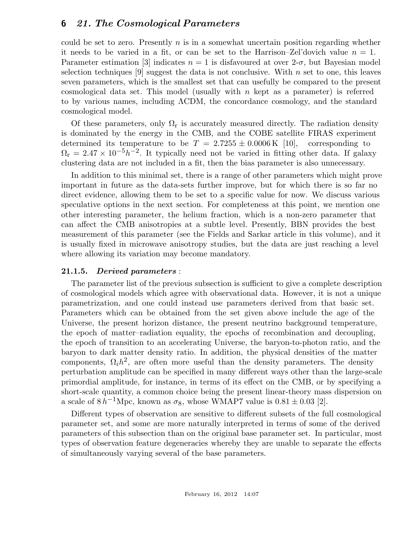could be set to zero. Presently  $n$  is in a somewhat uncertain position regarding whether it needs to be varied in a fit, or can be set to the Harrison–Zel'dovich value  $n = 1$ . Parameter estimation [3] indicates  $n = 1$  is disfavoured at over  $2-\sigma$ , but Bayesian model selection techniques [9] suggest the data is not conclusive. With  $n$  set to one, this leaves seven parameters, which is the smallest set that can usefully be compared to the present cosmological data set. This model (usually with  $n$  kept as a parameter) is referred to by various names, including ΛCDM, the concordance cosmology, and the standard cosmological model.

Of these parameters, only  $\Omega_r$  is accurately measured directly. The radiation density is dominated by the energy in the CMB, and the COBE satellite FIRAS experiment determined its temperature to be  $T = 2.7255 \pm 0.0006 \,\mathrm{K}$  [10], corresponding to  $\Omega_{\rm r} = 2.47 \times 10^{-5} h^{-2}$ . It typically need not be varied in fitting other data. If galaxy clustering data are not included in a fit, then the bias parameter is also unnecessary.

In addition to this minimal set, there is a range of other parameters which might prove important in future as the data-sets further improve, but for which there is so far no direct evidence, allowing them to be set to a specific value for now. We discuss various speculative options in the next section. For completeness at this point, we mention one other interesting parameter, the helium fraction, which is a non-zero parameter that can affect the CMB anisotropies at a subtle level. Presently, BBN provides the best measurement of this parameter (see the Fields and Sarkar article in this volume), and it is usually fixed in microwave anisotropy studies, but the data are just reaching a level where allowing its variation may become mandatory.

### 21.1.5. Derived parameters :

The parameter list of the previous subsection is sufficient to give a complete description of cosmological models which agree with observational data. However, it is not a unique parametrization, and one could instead use parameters derived from that basic set. Parameters which can be obtained from the set given above include the age of the Universe, the present horizon distance, the present neutrino background temperature, the epoch of matter–radiation equality, the epochs of recombination and decoupling, the epoch of transition to an accelerating Universe, the baryon-to-photon ratio, and the baryon to dark matter density ratio. In addition, the physical densities of the matter components,  $\Omega_i h^2$ , are often more useful than the density parameters. The density perturbation amplitude can be specified in many different ways other than the large-scale primordial amplitude, for instance, in terms of its effect on the CMB, or by specifying a short-scale quantity, a common choice being the present linear-theory mass dispersion on a scale of  $8 h^{-1}$ Mpc, known as  $\sigma_8$ , whose WMAP7 value is  $0.81 \pm 0.03$  [2].

Different types of observation are sensitive to different subsets of the full cosmological parameter set, and some are more naturally interpreted in terms of some of the derived parameters of this subsection than on the original base parameter set. In particular, most types of observation feature degeneracies whereby they are unable to separate the effects of simultaneously varying several of the base parameters.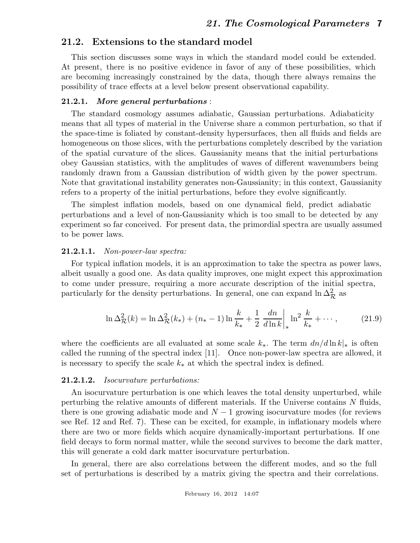## 21.2. Extensions to the standard model

This section discusses some ways in which the standard model could be extended. At present, there is no positive evidence in favor of any of these possibilities, which are becoming increasingly constrained by the data, though there always remains the possibility of trace effects at a level below present observational capability.

#### 21.2.1. More general perturbations :

The standard cosmology assumes adiabatic, Gaussian perturbations. Adiabaticity means that all types of material in the Universe share a common perturbation, so that if the space-time is foliated by constant-density hypersurfaces, then all fluids and fields are homogeneous on those slices, with the perturbations completely described by the variation of the spatial curvature of the slices. Gaussianity means that the initial perturbations obey Gaussian statistics, with the amplitudes of waves of different wavenumbers being randomly drawn from a Gaussian distribution of width given by the power spectrum. Note that gravitational instability generates non-Gaussianity; in this context, Gaussianity refers to a property of the initial perturbations, before they evolve significantly.

The simplest inflation models, based on one dynamical field, predict adiabatic perturbations and a level of non-Gaussianity which is too small to be detected by any experiment so far conceived. For present data, the primordial spectra are usually assumed to be power laws.

#### 21.2.1.1. *Non-power-law spectra:*

For typical inflation models, it is an approximation to take the spectra as power laws, albeit usually a good one. As data quality improves, one might expect this approximation to come under pressure, requiring a more accurate description of the initial spectra, particularly for the density perturbations. In general, one can expand  $\ln \Delta_{\mathcal{R}}^2$  as

$$
\ln \Delta_{\mathcal{R}}^2(k) = \ln \Delta_{\mathcal{R}}^2(k_*) + (n_* - 1) \ln \frac{k}{k_*} + \frac{1}{2} \left. \frac{dn}{d \ln k} \right|_* \ln^2 \frac{k}{k_*} + \cdots, \tag{21.9}
$$

where the coefficients are all evaluated at some scale  $k_*.$  The term  $dn/d \ln k|_*$  is often called the running of the spectral index [11]. Once non-power-law spectra are allowed, it is necessary to specify the scale  $k_*$  at which the spectral index is defined.

#### 21.2.1.2. *Isocurvature perturbations:*

An isocurvature perturbation is one which leaves the total density unperturbed, while perturbing the relative amounts of different materials. If the Universe contains N fluids, there is one growing adiabatic mode and  $N-1$  growing isocurvature modes (for reviews see Ref. 12 and Ref. 7). These can be excited, for example, in inflationary models where there are two or more fields which acquire dynamically-important perturbations. If one field decays to form normal matter, while the second survives to become the dark matter, this will generate a cold dark matter isocurvature perturbation.

In general, there are also correlations between the different modes, and so the full set of perturbations is described by a matrix giving the spectra and their correlations.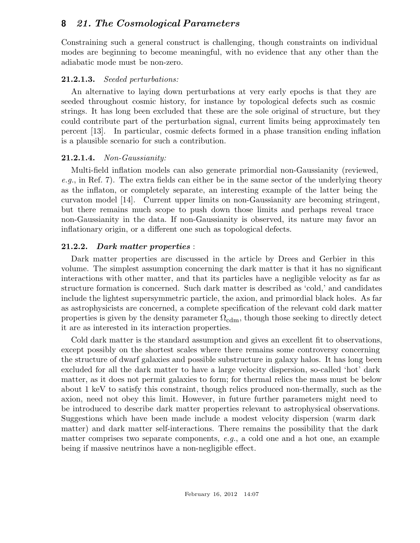Constraining such a general construct is challenging, though constraints on individual modes are beginning to become meaningful, with no evidence that any other than the adiabatic mode must be non-zero.

## 21.2.1.3. *Seeded perturbations:*

An alternative to laying down perturbations at very early epochs is that they are seeded throughout cosmic history, for instance by topological defects such as cosmic strings. It has long been excluded that these are the sole original of structure, but they could contribute part of the perturbation signal, current limits being approximately ten percent [13]. In particular, cosmic defects formed in a phase transition ending inflation is a plausible scenario for such a contribution.

## 21.2.1.4. *Non-Gaussianity:*

Multi-field inflation models can also generate primordial non-Gaussianity (reviewed, *e.g.*, in Ref. 7). The extra fields can either be in the same sector of the underlying theory as the inflaton, or completely separate, an interesting example of the latter being the curvaton model [14]. Current upper limits on non-Gaussianity are becoming stringent, but there remains much scope to push down those limits and perhaps reveal trace non-Gaussianity in the data. If non-Gaussianity is observed, its nature may favor an inflationary origin, or a different one such as topological defects.

## 21.2.2. Dark matter properties :

Dark matter properties are discussed in the article by Drees and Gerbier in this volume. The simplest assumption concerning the dark matter is that it has no significant interactions with other matter, and that its particles have a negligible velocity as far as structure formation is concerned. Such dark matter is described as 'cold,' and candidates include the lightest supersymmetric particle, the axion, and primordial black holes. As far as astrophysicists are concerned, a complete specification of the relevant cold dark matter properties is given by the density parameter  $\Omega_{\text{cdm}}$ , though those seeking to directly detect it are as interested in its interaction properties.

Cold dark matter is the standard assumption and gives an excellent fit to observations, except possibly on the shortest scales where there remains some controversy concerning the structure of dwarf galaxies and possible substructure in galaxy halos. It has long been excluded for all the dark matter to have a large velocity dispersion, so-called 'hot' dark matter, as it does not permit galaxies to form; for thermal relics the mass must be below about 1 keV to satisfy this constraint, though relics produced non-thermally, such as the axion, need not obey this limit. However, in future further parameters might need to be introduced to describe dark matter properties relevant to astrophysical observations. Suggestions which have been made include a modest velocity dispersion (warm dark matter) and dark matter self-interactions. There remains the possibility that the dark matter comprises two separate components, *e.g.*, a cold one and a hot one, an example being if massive neutrinos have a non-negligible effect.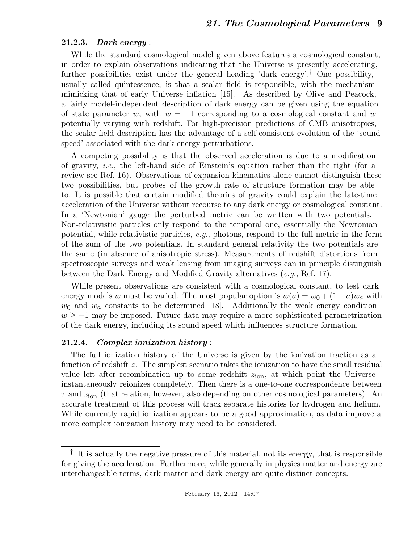#### 21.2.3. Dark energy :

While the standard cosmological model given above features a cosmological constant, in order to explain observations indicating that the Universe is presently accelerating, further possibilities exist under the general heading 'dark energy'.<sup>†</sup> One possibility, usually called quintessence, is that a scalar field is responsible, with the mechanism mimicking that of early Universe inflation [15]. As described by Olive and Peacock, a fairly model-independent description of dark energy can be given using the equation of state parameter w, with  $w = -1$  corresponding to a cosmological constant and w potentially varying with redshift. For high-precision predictions of CMB anisotropies, the scalar-field description has the advantage of a self-consistent evolution of the 'sound speed' associated with the dark energy perturbations.

A competing possibility is that the observed acceleration is due to a modification of gravity, *i.e.*, the left-hand side of Einstein's equation rather than the right (for a review see Ref. 16). Observations of expansion kinematics alone cannot distinguish these two possibilities, but probes of the growth rate of structure formation may be able to. It is possible that certain modified theories of gravity could explain the late-time acceleration of the Universe without recourse to any dark energy or cosmological constant. In a 'Newtonian' gauge the perturbed metric can be written with two potentials. Non-relativistic particles only respond to the temporal one, essentially the Newtonian potential, while relativistic particles, *e.g.*, photons, respond to the full metric in the form of the sum of the two potentials. In standard general relativity the two potentials are the same (in absence of anisotropic stress). Measurements of redshift distortions from spectroscopic surveys and weak lensing from imaging surveys can in principle distinguish between the Dark Energy and Modified Gravity alternatives (*e.g.*, Ref. 17).

While present observations are consistent with a cosmological constant, to test dark energy models w must be varied. The most popular option is  $w(a) = w_0 + (1 - a)w_a$  with  $w_0$  and  $w_a$  constants to be determined [18]. Additionally the weak energy condition  $w \geq -1$  may be imposed. Future data may require a more sophisticated parametrization of the dark energy, including its sound speed which influences structure formation.

#### 21.2.4. Complex ionization history :

The full ionization history of the Universe is given by the ionization fraction as a function of redshift z. The simplest scenario takes the ionization to have the small residual value left after recombination up to some redshift  $z<sub>ion</sub>$ , at which point the Universe instantaneously reionizes completely. Then there is a one-to-one correspondence between  $\tau$  and  $z_{\text{ion}}$  (that relation, however, also depending on other cosmological parameters). An accurate treatment of this process will track separate histories for hydrogen and helium. While currently rapid ionization appears to be a good approximation, as data improve a more complex ionization history may need to be considered.

<sup>†</sup> It is actually the negative pressure of this material, not its energy, that is responsible for giving the acceleration. Furthermore, while generally in physics matter and energy are interchangeable terms, dark matter and dark energy are quite distinct concepts.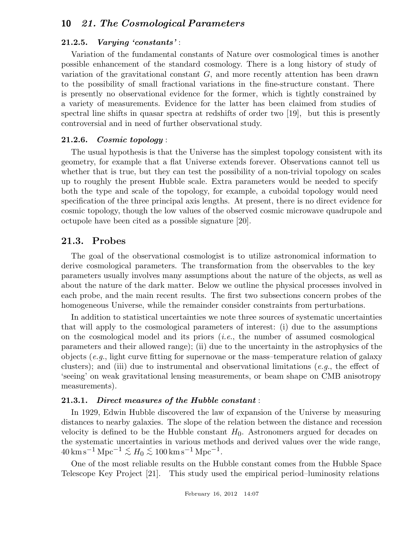#### 21.2.5. Varying 'constants' :

Variation of the fundamental constants of Nature over cosmological times is another possible enhancement of the standard cosmology. There is a long history of study of variation of the gravitational constant  $G$ , and more recently attention has been drawn to the possibility of small fractional variations in the fine-structure constant. There is presently no observational evidence for the former, which is tightly constrained by a variety of measurements. Evidence for the latter has been claimed from studies of spectral line shifts in quasar spectra at redshifts of order two [19], but this is presently controversial and in need of further observational study.

#### 21.2.6. Cosmic topology :

The usual hypothesis is that the Universe has the simplest topology consistent with its geometry, for example that a flat Universe extends forever. Observations cannot tell us whether that is true, but they can test the possibility of a non-trivial topology on scales up to roughly the present Hubble scale. Extra parameters would be needed to specify both the type and scale of the topology, for example, a cuboidal topology would need specification of the three principal axis lengths. At present, there is no direct evidence for cosmic topology, though the low values of the observed cosmic microwave quadrupole and octupole have been cited as a possible signature [20].

# 21.3. Probes

The goal of the observational cosmologist is to utilize astronomical information to derive cosmological parameters. The transformation from the observables to the key parameters usually involves many assumptions about the nature of the objects, as well as about the nature of the dark matter. Below we outline the physical processes involved in each probe, and the main recent results. The first two subsections concern probes of the homogeneous Universe, while the remainder consider constraints from perturbations.

In addition to statistical uncertainties we note three sources of systematic uncertainties that will apply to the cosmological parameters of interest: (i) due to the assumptions on the cosmological model and its priors (*i.e.*, the number of assumed cosmological parameters and their allowed range); (ii) due to the uncertainty in the astrophysics of the objects (*e.g.*, light curve fitting for supernovae or the mass–temperature relation of galaxy clusters); and (iii) due to instrumental and observational limitations (*e.g.*, the effect of 'seeing' on weak gravitational lensing measurements, or beam shape on CMB anisotropy measurements).

#### 21.3.1. Direct measures of the Hubble constant :

In 1929, Edwin Hubble discovered the law of expansion of the Universe by measuring distances to nearby galaxies. The slope of the relation between the distance and recession velocity is defined to be the Hubble constant  $H_0$ . Astronomers argued for decades on the systematic uncertainties in various methods and derived values over the wide range,  $40 \,\mathrm{km}\,\mathrm{s}^{-1}\,\mathrm{Mpc}^{-1} \lesssim H_0 \lesssim 100 \,\mathrm{km}\,\mathrm{s}^{-1}\,\mathrm{Mpc}^{-1}.$ 

One of the most reliable results on the Hubble constant comes from the Hubble Space Telescope Key Project [21]. This study used the empirical period–luminosity relations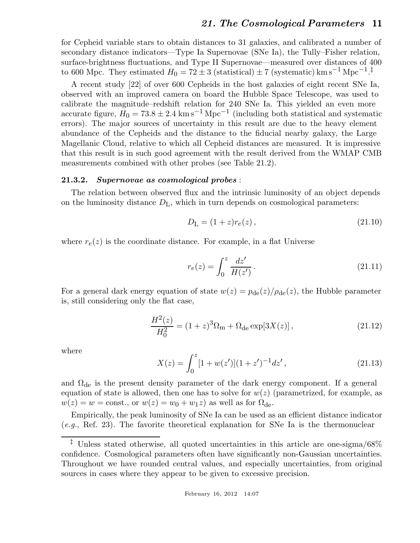for Cepheid variable stars to obtain distances to 31 galaxies, and calibrated a number of secondary distance indicators—Type Ia Supernovae (SNe Ia), the Tully–Fisher relation, surface-brightness fluctuations, and Type II Supernovae—measured over distances of 400 to 600 Mpc. They estimated  $H_0 = 72 \pm 3$  (statistical)  $\pm 7$  (systematic) km s<sup>-1</sup> Mpc<sup>-1</sup>.<sup>‡</sup>

A recent study [22] of over 600 Cepheids in the host galaxies of eight recent SNe Ia, observed with an improved camera on board the Hubble Space Telescope, was used to calibrate the magnitude–redshift relation for 240 SNe Ia. This yielded an even more accurate figure,  $H_0 = 73.8 \pm 2.4 \text{ km s}^{-1} \text{ Mpc}^{-1}$  (including both statistical and systematic errors). The major sources of uncertainty in this result are due to the heavy element abundance of the Cepheids and the distance to the fiducial nearby galaxy, the Large Magellanic Cloud, relative to which all Cepheid distances are measured. It is impressive that this result is in such good agreement with the result derived from the WMAP CMB measurements combined with other probes (see Table 21.2).

#### 21.3.2. Supernovae as cosmological probes :

The relation between observed flux and the intrinsic luminosity of an object depends on the luminosity distance  $D_{\text{L}}$ , which in turn depends on cosmological parameters:

$$
D_{\rm L} = (1+z)r_e(z)\,,\tag{21.10}
$$

where  $r_e(z)$  is the coordinate distance. For example, in a flat Universe

$$
r_e(z) = \int_0^z \frac{dz'}{H(z')} \,. \tag{21.11}
$$

For a general dark energy equation of state  $w(z) = p_{\text{de}}(z)/\rho_{\text{de}}(z)$ , the Hubble parameter is, still considering only the flat case,

$$
\frac{H^2(z)}{H_0^2} = (1+z)^3 \Omega_{\rm m} + \Omega_{\rm de} \exp[3X(z)],\tag{21.12}
$$

where

$$
X(z) = \int_0^z [1 + w(z')] (1 + z')^{-1} dz', \qquad (21.13)
$$

and  $\Omega_{\text{de}}$  is the present density parameter of the dark energy component. If a general equation of state is allowed, then one has to solve for  $w(z)$  (parametrized, for example, as  $w(z) = w = \text{const.}, \text{ or } w(z) = w_0 + w_1 z$  as well as for  $\Omega_{\text{de}}$ .

Empirically, the peak luminosity of SNe Ia can be used as an efficient distance indicator (*e.g.*, Ref. 23). The favorite theoretical explanation for SNe Ia is the thermonuclear

<sup>&</sup>lt;sup>‡</sup> Unless stated otherwise, all quoted uncertainties in this article are one-sigma/68% confidence. Cosmological parameters often have significantly non-Gaussian uncertainties. Throughout we have rounded central values, and especially uncertainties, from original sources in cases where they appear to be given to excessive precision.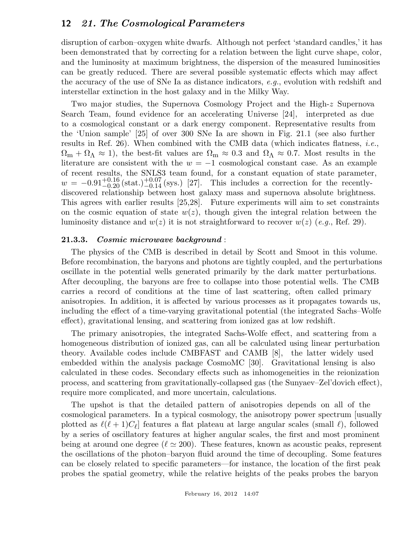disruption of carbon–oxygen white dwarfs. Although not perfect 'standard candles,' it has been demonstrated that by correcting for a relation between the light curve shape, color, and the luminosity at maximum brightness, the dispersion of the measured luminosities can be greatly reduced. There are several possible systematic effects which may affect the accuracy of the use of SNe Ia as distance indicators, *e.g.*, evolution with redshift and interstellar extinction in the host galaxy and in the Milky Way.

Two major studies, the Supernova Cosmology Project and the High-z Supernova Search Team, found evidence for an accelerating Universe [24], interpreted as due to a cosmological constant or a dark energy component. Representative results from the 'Union sample' [25] of over 300 SNe Ia are shown in Fig. 21.1 (see also further results in Ref. 26). When combined with the CMB data (which indicates flatness, *i.e.*,  $\Omega_{\rm m} + \Omega_{\Lambda} \approx 1$ , the best-fit values are  $\Omega_{\rm m} \approx 0.3$  and  $\Omega_{\Lambda} \approx 0.7$ . Most results in the literature are consistent with the  $w = -1$  cosmological constant case. As an example of recent results, the SNLS3 team found, for a constant equation of state parameter,  $w = -0.91^{+0.16}_{-0.20}$  (stat.) $^{+0.07}_{-0.14}$  (sys.) [27]. This includes a correction for the recentlydiscovered relationship between host galaxy mass and supernova absolute brightness. This agrees with earlier results [25,28]. Future experiments will aim to set constraints on the cosmic equation of state  $w(z)$ , though given the integral relation between the luminosity distance and  $w(z)$  it is not straightforward to recover  $w(z)$  (*e.g.*, Ref. 29).

## 21.3.3. Cosmic microwave background :

The physics of the CMB is described in detail by Scott and Smoot in this volume. Before recombination, the baryons and photons are tightly coupled, and the perturbations oscillate in the potential wells generated primarily by the dark matter perturbations. After decoupling, the baryons are free to collapse into those potential wells. The CMB carries a record of conditions at the time of last scattering, often called primary anisotropies. In addition, it is affected by various processes as it propagates towards us, including the effect of a time-varying gravitational potential (the integrated Sachs–Wolfe effect), gravitational lensing, and scattering from ionized gas at low redshift.

The primary anisotropies, the integrated Sachs-Wolfe effect, and scattering from a homogeneous distribution of ionized gas, can all be calculated using linear perturbation theory. Available codes include CMBFAST and CAMB [8], the latter widely used embedded within the analysis package CosmoMC [30]. Gravitational lensing is also calculated in these codes. Secondary effects such as inhomogeneities in the reionization process, and scattering from gravitationally-collapsed gas (the Sunyaev–Zel'dovich effect), require more complicated, and more uncertain, calculations.

The upshot is that the detailed pattern of anisotropies depends on all of the cosmological parameters. In a typical cosmology, the anisotropy power spectrum [usually plotted as  $\ell(\ell+1)C_{\ell}$  features a flat plateau at large angular scales (small  $\ell$ ), followed by a series of oscillatory features at higher angular scales, the first and most prominent being at around one degree ( $\ell \approx 200$ ). These features, known as acoustic peaks, represent the oscillations of the photon–baryon fluid around the time of decoupling. Some features can be closely related to specific parameters—for instance, the location of the first peak probes the spatial geometry, while the relative heights of the peaks probes the baryon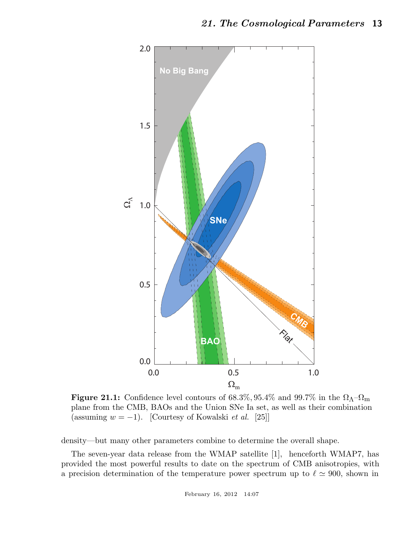

Figure 21.1: Confidence level contours of 68.3%, 95.4% and 99.7% in the  $\Omega_{\Lambda}$ - $\Omega_{\rm m}$ plane from the CMB, BAOs and the Union SNe Ia set, as well as their combination (assuming  $w = -1$ ). [Courtesy of Kowalski *et al.* [25]]

density—but many other parameters combine to determine the overall shape.

The seven-year data release from the WMAP satellite [1], henceforth WMAP7, has provided the most powerful results to date on the spectrum of CMB anisotropies, with a precision determination of the temperature power spectrum up to  $\ell \approx 900$ , shown in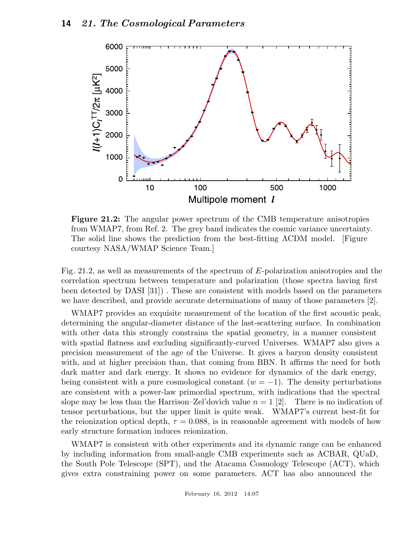

Figure 21.2: The angular power spectrum of the CMB temperature anisotropies from WMAP7, from Ref. 2. The grey band indicates the cosmic variance uncertainty. The solid line shows the prediction from the best-fitting ΛCDM model. [Figure courtesy NASA/WMAP Science Team.]

Fig. 21.2, as well as measurements of the spectrum of E-polarization anisotropies and the correlation spectrum between temperature and polarization (those spectra having first been detected by DASI [31]) . These are consistent with models based on the parameters we have described, and provide accurate determinations of many of those parameters [2].

WMAP7 provides an exquisite measurement of the location of the first acoustic peak, determining the angular-diameter distance of the last-scattering surface. In combination with other data this strongly constrains the spatial geometry, in a manner consistent with spatial flatness and excluding significantly-curved Universes. WMAP7 also gives a precision measurement of the age of the Universe. It gives a baryon density consistent with, and at higher precision than, that coming from BBN. It affirms the need for both dark matter and dark energy. It shows no evidence for dynamics of the dark energy, being consistent with a pure cosmological constant  $(w = -1)$ . The density perturbations are consistent with a power-law primordial spectrum, with indications that the spectral slope may be less than the Harrison–Zel'dovich value  $n = 1$  [2]. There is no indication of tensor perturbations, but the upper limit is quite weak. WMAP7's current best-fit for the reionization optical depth,  $\tau = 0.088$ , is in reasonable agreement with models of how early structure formation induces reionization.

WMAP7 is consistent with other experiments and its dynamic range can be enhanced by including information from small-angle CMB experiments such as ACBAR, QUaD, the South Pole Telescope (SPT), and the Atacama Cosmology Telescope (ACT), which gives extra constraining power on some parameters. ACT has also announced the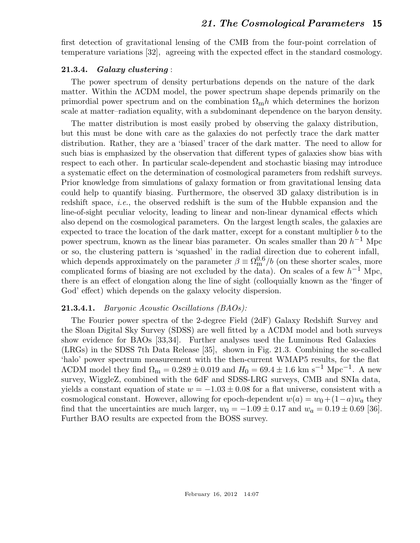first detection of gravitational lensing of the CMB from the four-point correlation of temperature variations [32], agreeing with the expected effect in the standard cosmology.

## 21.3.4. Galaxy clustering :

The power spectrum of density perturbations depends on the nature of the dark matter. Within the ΛCDM model, the power spectrum shape depends primarily on the primordial power spectrum and on the combination  $\Omega_{\rm m}h$  which determines the horizon scale at matter–radiation equality, with a subdominant dependence on the baryon density.

The matter distribution is most easily probed by observing the galaxy distribution, but this must be done with care as the galaxies do not perfectly trace the dark matter distribution. Rather, they are a 'biased' tracer of the dark matter. The need to allow for such bias is emphasized by the observation that different types of galaxies show bias with respect to each other. In particular scale-dependent and stochastic biasing may introduce a systematic effect on the determination of cosmological parameters from redshift surveys. Prior knowledge from simulations of galaxy formation or from gravitational lensing data could help to quantify biasing. Furthermore, the observed 3D galaxy distribution is in redshift space, *i.e.*, the observed redshift is the sum of the Hubble expansion and the line-of-sight peculiar velocity, leading to linear and non-linear dynamical effects which also depend on the cosmological parameters. On the largest length scales, the galaxies are expected to trace the location of the dark matter, except for a constant multiplier b to the power spectrum, known as the linear bias parameter. On scales smaller than 20  $h^{-1}$  Mpc or so, the clustering pattern is 'squashed' in the radial direction due to coherent infall, which depends approximately on the parameter  $\beta \equiv \Omega_{\rm m}^{0.6}/b$  (on these shorter scales, more complicated forms of biasing are not excluded by the data). On scales of a few  $h^{-1}$  Mpc, there is an effect of elongation along the line of sight (colloquially known as the 'finger of God' effect) which depends on the galaxy velocity dispersion.

## 21.3.4.1. *Baryonic Acoustic Oscillations (BAOs):*

The Fourier power spectra of the 2-degree Field (2dF) Galaxy Redshift Survey and the Sloan Digital Sky Survey (SDSS) are well fitted by a ΛCDM model and both surveys show evidence for BAOs [33,34]. Further analyses used the Luminous Red Galaxies (LRGs) in the SDSS 7th Data Release [35], shown in Fig. 21.3. Combining the so-called 'halo' power spectrum measurement with the then-current WMAP5 results, for the flat  $\Lambda$ CDM model they find  $\Omega_{\rm m} = 0.289 \pm 0.019$  and  $H_0 = 69.4 \pm 1.6$  km s<sup>-1</sup> Mpc<sup>-1</sup>. A new survey, WiggleZ, combined with the 6dF and SDSS-LRG surveys, CMB and SNIa data, yields a constant equation of state  $w = -1.03 \pm 0.08$  for a flat universe, consistent with a cosmological constant. However, allowing for epoch-dependent  $w(a) = w_0 + (1-a)w_a$  they find that the uncertainties are much larger,  $w_0 = -1.09 \pm 0.17$  and  $w_a = 0.19 \pm 0.69$  [36]. Further BAO results are expected from the BOSS survey.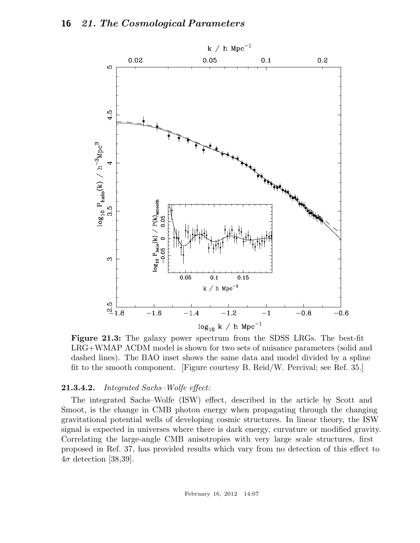

Figure 21.3: The galaxy power spectrum from the SDSS LRGs. The best-fit LRG+WMAP ΛCDM model is shown for two sets of nuisance parameters (solid and dashed lines). The BAO inset shows the same data and model divided by a spline fit to the smooth component. [Figure courtesy B. Reid/W. Percival; see Ref. 35.]

#### 21.3.4.2. *Integrated Sachs–Wolfe effect:*

The integrated Sachs–Wolfe (ISW) effect, described in the article by Scott and Smoot, is the change in CMB photon energy when propagating through the changing gravitational potential wells of developing cosmic structures. In linear theory, the ISW signal is expected in universes where there is dark energy, curvature or modified gravity. Correlating the large-angle CMB anisotropies with very large scale structures, first proposed in Ref. 37, has provided results which vary from no detection of this effect to  $4\sigma$  detection [38,39].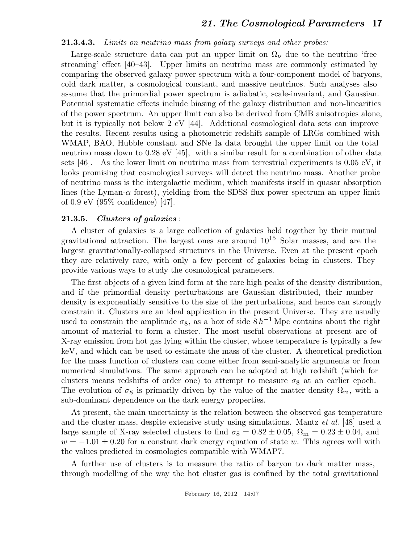#### 21.3.4.3. *Limits on neutrino mass from galaxy surveys and other probes:*

Large-scale structure data can put an upper limit on  $\Omega_{\nu}$  due to the neutrino 'free streaming' effect [40–43]. Upper limits on neutrino mass are commonly estimated by comparing the observed galaxy power spectrum with a four-component model of baryons, cold dark matter, a cosmological constant, and massive neutrinos. Such analyses also assume that the primordial power spectrum is adiabatic, scale-invariant, and Gaussian. Potential systematic effects include biasing of the galaxy distribution and non-linearities of the power spectrum. An upper limit can also be derived from CMB anisotropies alone, but it is typically not below 2 eV [44]. Additional cosmological data sets can improve the results. Recent results using a photometric redshift sample of LRGs combined with WMAP, BAO, Hubble constant and SNe Ia data brought the upper limit on the total neutrino mass down to 0.28 eV [45], with a similar result for a combination of other data sets [46]. As the lower limit on neutrino mass from terrestrial experiments is 0.05 eV, it looks promising that cosmological surveys will detect the neutrino mass. Another probe of neutrino mass is the intergalactic medium, which manifests itself in quasar absorption lines (the Lyman- $\alpha$  forest), yielding from the SDSS flux power spectrum an upper limit of 0.9 eV (95% confidence) [47].

#### 21.3.5. Clusters of galaxies :

A cluster of galaxies is a large collection of galaxies held together by their mutual gravitational attraction. The largest ones are around  $10^{15}$  Solar masses, and are the largest gravitationally-collapsed structures in the Universe. Even at the present epoch they are relatively rare, with only a few percent of galaxies being in clusters. They provide various ways to study the cosmological parameters.

The first objects of a given kind form at the rare high peaks of the density distribution, and if the primordial density perturbations are Gaussian distributed, their number density is exponentially sensitive to the size of the perturbations, and hence can strongly constrain it. Clusters are an ideal application in the present Universe. They are usually used to constrain the amplitude  $\sigma_8$ , as a box of side  $8 h^{-1}$  Mpc contains about the right amount of material to form a cluster. The most useful observations at present are of X-ray emission from hot gas lying within the cluster, whose temperature is typically a few keV, and which can be used to estimate the mass of the cluster. A theoretical prediction for the mass function of clusters can come either from semi-analytic arguments or from numerical simulations. The same approach can be adopted at high redshift (which for clusters means redshifts of order one) to attempt to measure  $\sigma_8$  at an earlier epoch. The evolution of  $\sigma_8$  is primarily driven by the value of the matter density  $\Omega_{\rm m}$ , with a sub-dominant dependence on the dark energy properties.

At present, the main uncertainty is the relation between the observed gas temperature and the cluster mass, despite extensive study using simulations. Mantz *et al.* [48] used a large sample of X-ray selected clusters to find  $\sigma_8 = 0.82 \pm 0.05$ ,  $\Omega_m = 0.23 \pm 0.04$ , and  $w = -1.01 \pm 0.20$  for a constant dark energy equation of state w. This agrees well with the values predicted in cosmologies compatible with WMAP7.

A further use of clusters is to measure the ratio of baryon to dark matter mass, through modelling of the way the hot cluster gas is confined by the total gravitational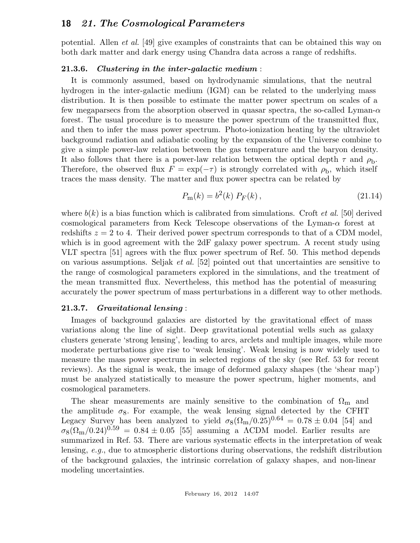potential. Allen *et al.* [49] give examples of constraints that can be obtained this way on both dark matter and dark energy using Chandra data across a range of redshifts.

### 21.3.6. Clustering in the inter-galactic medium :

It is commonly assumed, based on hydrodynamic simulations, that the neutral hydrogen in the inter-galactic medium (IGM) can be related to the underlying mass distribution. It is then possible to estimate the matter power spectrum on scales of a few megaparsecs from the absorption observed in quasar spectra, the so-called Lyman- $\alpha$ forest. The usual procedure is to measure the power spectrum of the transmitted flux, and then to infer the mass power spectrum. Photo-ionization heating by the ultraviolet background radiation and adiabatic cooling by the expansion of the Universe combine to give a simple power-law relation between the gas temperature and the baryon density. It also follows that there is a power-law relation between the optical depth  $\tau$  and  $\rho_{\rm b}$ . Therefore, the observed flux  $F = \exp(-\tau)$  is strongly correlated with  $\rho_{\rm b}$ , which itself traces the mass density. The matter and flux power spectra can be related by

$$
P_{\rm m}(k) = b^2(k) \, P_F(k) \,, \tag{21.14}
$$

where  $b(k)$  is a bias function which is calibrated from simulations. Croft *et al.* [50] derived cosmological parameters from Keck Telescope observations of the Lyman-α forest at redshifts  $z = 2$  to 4. Their derived power spectrum corresponds to that of a CDM model, which is in good agreement with the 2dF galaxy power spectrum. A recent study using VLT spectra [51] agrees with the flux power spectrum of Ref. 50. This method depends on various assumptions. Seljak *et al.* [52] pointed out that uncertainties are sensitive to the range of cosmological parameters explored in the simulations, and the treatment of the mean transmitted flux. Nevertheless, this method has the potential of measuring accurately the power spectrum of mass perturbations in a different way to other methods.

#### 21.3.7. Gravitational lensing :

Images of background galaxies are distorted by the gravitational effect of mass variations along the line of sight. Deep gravitational potential wells such as galaxy clusters generate 'strong lensing', leading to arcs, arclets and multiple images, while more moderate perturbations give rise to 'weak lensing'. Weak lensing is now widely used to measure the mass power spectrum in selected regions of the sky (see Ref. 53 for recent reviews). As the signal is weak, the image of deformed galaxy shapes (the 'shear map') must be analyzed statistically to measure the power spectrum, higher moments, and cosmological parameters.

The shear measurements are mainly sensitive to the combination of  $\Omega_{\rm m}$  and the amplitude  $\sigma_8$ . For example, the weak lensing signal detected by the CFHT Legacy Survey has been analyzed to yield  $\sigma_8(\Omega_{\rm m}/0.25)^{0.64} = 0.78 \pm 0.04$  [54] and  $\sigma_8(\Omega_m/0.24)^{0.59} = 0.84 \pm 0.05$  [55] assuming a  $\Lambda$ CDM model. Earlier results are summarized in Ref. 53. There are various systematic effects in the interpretation of weak lensing, *e.g.*, due to atmospheric distortions during observations, the redshift distribution of the background galaxies, the intrinsic correlation of galaxy shapes, and non-linear modeling uncertainties.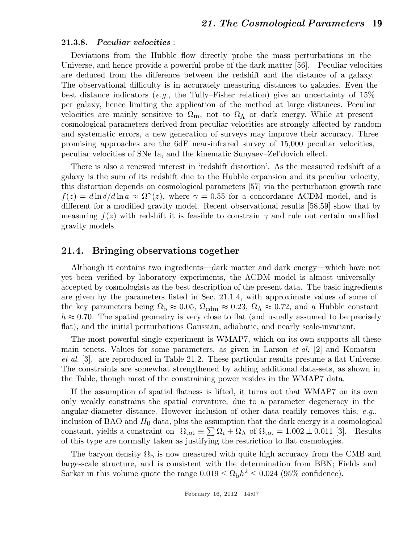#### 21.3.8. Peculiar velocities :

Deviations from the Hubble flow directly probe the mass perturbations in the Universe, and hence provide a powerful probe of the dark matter [56]. Peculiar velocities are deduced from the difference between the redshift and the distance of a galaxy. The observational difficulty is in accurately measuring distances to galaxies. Even the best distance indicators (*e.g.*, the Tully–Fisher relation) give an uncertainty of 15% per galaxy, hence limiting the application of the method at large distances. Peculiar velocities are mainly sensitive to  $\Omega_{\rm m}$ , not to  $\Omega_{\Lambda}$  or dark energy. While at present cosmological parameters derived from peculiar velocities are strongly affected by random and systematic errors, a new generation of surveys may improve their accuracy. Three promising approaches are the 6dF near-infrared survey of 15,000 peculiar velocities, peculiar velocities of SNe Ia, and the kinematic Sunyaev–Zel'dovich effect.

There is also a renewed interest in 'redshift distortion'. As the measured redshift of a galaxy is the sum of its redshift due to the Hubble expansion and its peculiar velocity, this distortion depends on cosmological parameters [57] via the perturbation growth rate  $f(z) = d \ln \delta / d \ln a \approx \Omega^{\gamma}(z)$ , where  $\gamma = 0.55$  for a concordance  $\Lambda$ CDM model, and is different for a modified gravity model. Recent observational results [58,59] show that by measuring  $f(z)$  with redshift it is feasible to constrain  $\gamma$  and rule out certain modified gravity models.

#### 21.4. Bringing observations together

Although it contains two ingredients—dark matter and dark energy—which have not yet been verified by laboratory experiments, the ΛCDM model is almost universally accepted by cosmologists as the best description of the present data. The basic ingredients are given by the parameters listed in Sec. 21.1.4, with approximate values of some of the key parameters being  $\Omega_{\rm b} \approx 0.05$ ,  $\Omega_{\rm cdm} \approx 0.23$ ,  $\Omega_{\Lambda} \approx 0.72$ , and a Hubble constant  $h \approx 0.70$ . The spatial geometry is very close to flat (and usually assumed to be precisely flat), and the initial perturbations Gaussian, adiabatic, and nearly scale-invariant.

The most powerful single experiment is WMAP7, which on its own supports all these main tenets. Values for some parameters, as given in Larson *et al.* [2] and Komatsu *et al.* [3], are reproduced in Table 21.2. These particular results presume a flat Universe. The constraints are somewhat strengthened by adding additional data-sets, as shown in the Table, though most of the constraining power resides in the WMAP7 data.

If the assumption of spatial flatness is lifted, it turns out that WMAP7 on its own only weakly constrains the spatial curvature, due to a parameter degeneracy in the angular-diameter distance. However inclusion of other data readily removes this, *e.g.*, inclusion of BAO and  $H_0$  data, plus the assumption that the dark energy is a cosmological constant, yields a constraint on  $\Omega_{\text{tot}} \equiv \sum \Omega_i + \Omega_{\Lambda}$  of  $\Omega_{\text{tot}} = 1.002 \pm 0.011$  [3]. Results of this type are normally taken as justifying the restriction to flat cosmologies.

The baryon density  $\Omega_{\rm b}$  is now measured with quite high accuracy from the CMB and large-scale structure, and is consistent with the determination from BBN; Fields and Sarkar in this volume quote the range  $0.019 \le \Omega_{\rm b} h^2 \le 0.024$  (95% confidence).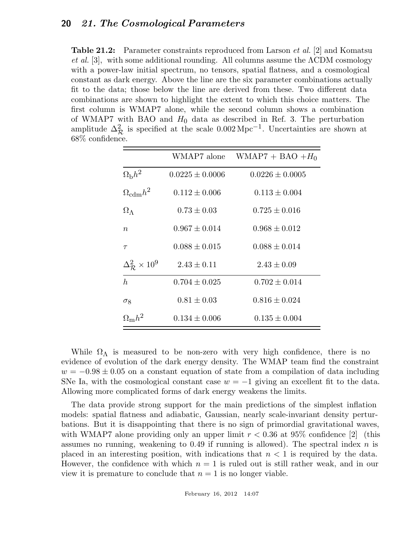Table 21.2: Parameter constraints reproduced from Larson *et al.* [2] and Komatsu *et al.* [3], with some additional rounding. All columns assume the ΛCDM cosmology with a power-law initial spectrum, no tensors, spatial flatness, and a cosmological constant as dark energy. Above the line are the six parameter combinations actually fit to the data; those below the line are derived from these. Two different data combinations are shown to highlight the extent to which this choice matters. The first column is WMAP7 alone, while the second column shows a combination of WMAP7 with BAO and  $H_0$  data as described in Ref. 3. The perturbation amplitude  $\Delta_{\mathcal{R}}^2$  is specified at the scale 0.002 Mpc<sup>-1</sup>. Uncertainties are shown at 68% confidence.

|                                      | WMAP7 alone         | WMAP7 + BAO $+H_0$  |
|--------------------------------------|---------------------|---------------------|
| $\Omega_{\rm b}h^2$                  | $0.0225 \pm 0.0006$ | $0.0226 \pm 0.0005$ |
| $\Omega_{\rm cdm}h^2$                | $0.112 \pm 0.006$   | $0.113 \pm 0.004$   |
| $\Omega_{\Lambda}$                   | $0.73 \pm 0.03$     | $0.725 \pm 0.016$   |
| $\boldsymbol{n}$                     | $0.967 \pm 0.014$   | $0.968 \pm 0.012$   |
| $\tau$                               | $0.088 \pm 0.015$   | $0.088 \pm 0.014$   |
| $\Delta_{\mathcal{R}}^2 \times 10^9$ | $2.43 \pm 0.11$     | $2.43 \pm 0.09$     |
| h                                    | $0.704 \pm 0.025$   | $0.702 \pm 0.014$   |
| $\sigma_8$                           | $0.81 \pm 0.03$     | $0.816 \pm 0.024$   |
| $\Omega_{\rm m}h^2$                  | $0.134 \pm 0.006$   | $0.135 \pm 0.004$   |

While  $\Omega_{\Lambda}$  is measured to be non-zero with very high confidence, there is no evidence of evolution of the dark energy density. The WMAP team find the constraint  $w = -0.98 \pm 0.05$  on a constant equation of state from a compilation of data including SNe Ia, with the cosmological constant case  $w = -1$  giving an excellent fit to the data. Allowing more complicated forms of dark energy weakens the limits.

The data provide strong support for the main predictions of the simplest inflation models: spatial flatness and adiabatic, Gaussian, nearly scale-invariant density perturbations. But it is disappointing that there is no sign of primordial gravitational waves, with WMAP7 alone providing only an upper limit  $r < 0.36$  at 95% confidence [2] (this assumes no running, weakening to 0.49 if running is allowed). The spectral index  $n$  is placed in an interesting position, with indications that  $n < 1$  is required by the data. However, the confidence with which  $n = 1$  is ruled out is still rather weak, and in our view it is premature to conclude that  $n = 1$  is no longer viable.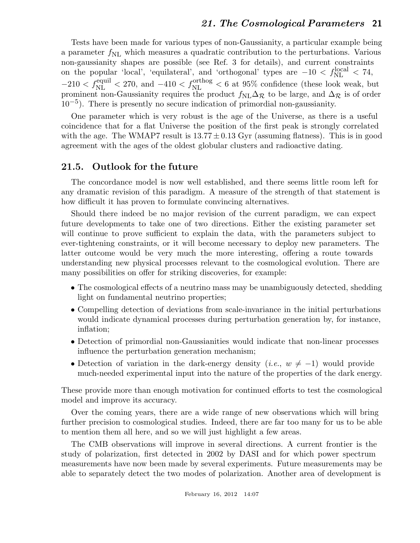Tests have been made for various types of non-Gaussianity, a particular example being a parameter  $f_{\rm NL}$  which measures a quadratic contribution to the perturbations. Various non-gaussianity shapes are possible (see Ref. 3 for details), and current constraints on the popular 'local', 'equilateral', and 'orthogonal' types are  $-10 < f_{\text{NL}}^{\text{local}} < 74$ ,  $-210 < f_{\text{NL}}^{\text{equil}} < 270$ , and  $-410 < f_{\text{NL}}^{\text{orthog}} < 6$  at 95% confidence (these look weak, but prominent non-Gaussianity requires the product  $f_{\rm NL}\Delta_{\cal R}$  to be large, and  $\Delta_{\cal R}$  is of order 10−<sup>5</sup> ). There is presently no secure indication of primordial non-gaussianity.

One parameter which is very robust is the age of the Universe, as there is a useful coincidence that for a flat Universe the position of the first peak is strongly correlated with the age. The WMAP7 result is  $13.77 \pm 0.13$  Gyr (assuming flatness). This is in good agreement with the ages of the oldest globular clusters and radioactive dating.

# 21.5. Outlook for the future

The concordance model is now well established, and there seems little room left for any dramatic revision of this paradigm. A measure of the strength of that statement is how difficult it has proven to formulate convincing alternatives.

Should there indeed be no major revision of the current paradigm, we can expect future developments to take one of two directions. Either the existing parameter set will continue to prove sufficient to explain the data, with the parameters subject to ever-tightening constraints, or it will become necessary to deploy new parameters. The latter outcome would be very much the more interesting, offering a route towards understanding new physical processes relevant to the cosmological evolution. There are many possibilities on offer for striking discoveries, for example:

- The cosmological effects of a neutrino mass may be unambiguously detected, shedding light on fundamental neutrino properties;
- Compelling detection of deviations from scale-invariance in the initial perturbations would indicate dynamical processes during perturbation generation by, for instance, inflation;
- Detection of primordial non-Gaussianities would indicate that non-linear processes influence the perturbation generation mechanism;
- Detection of variation in the dark-energy density  $(i.e., w \neq -1)$  would provide much-needed experimental input into the nature of the properties of the dark energy.

These provide more than enough motivation for continued efforts to test the cosmological model and improve its accuracy.

Over the coming years, there are a wide range of new observations which will bring further precision to cosmological studies. Indeed, there are far too many for us to be able to mention them all here, and so we will just highlight a few areas.

The CMB observations will improve in several directions. A current frontier is the study of polarization, first detected in 2002 by DASI and for which power spectrum measurements have now been made by several experiments. Future measurements may be able to separately detect the two modes of polarization. Another area of development is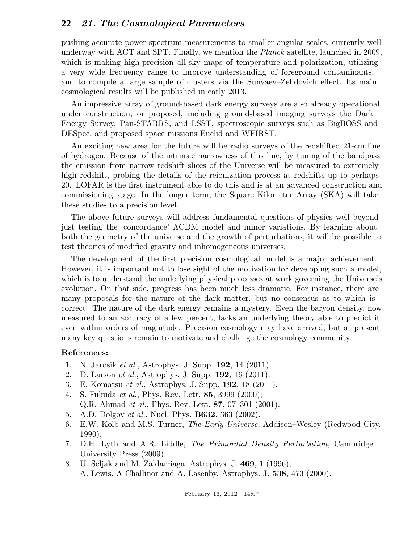pushing accurate power spectrum measurements to smaller angular scales, currently well underway with ACT and SPT. Finally, we mention the *Planck* satellite, launched in 2009, which is making high-precision all-sky maps of temperature and polarization, utilizing a very wide frequency range to improve understanding of foreground contaminants, and to compile a large sample of clusters via the Sunyaev–Zel'dovich effect. Its main cosmological results will be published in early 2013.

An impressive array of ground-based dark energy surveys are also already operational, under construction, or proposed, including ground-based imaging surveys the Dark Energy Survey, Pan-STARRS, and LSST, spectroscopic surveys such as BigBOSS and DESpec, and proposed space missions Euclid and WFIRST.

An exciting new area for the future will be radio surveys of the redshifted 21-cm line of hydrogen. Because of the intrinsic narrowness of this line, by tuning of the bandpass the emission from narrow redshift slices of the Universe will be measured to extremely high redshift, probing the details of the reionization process at redshifts up to perhaps 20. LOFAR is the first instrument able to do this and is at an advanced construction and commissioning stage. In the longer term, the Square Kilometer Array (SKA) will take these studies to a precision level.

The above future surveys will address fundamental questions of physics well beyond just testing the 'concordance' ΛCDM model and minor variations. By learning about both the geometry of the universe and the growth of perturbations, it will be possible to test theories of modified gravity and inhomogeneous universes.

The development of the first precision cosmological model is a major achievement. However, it is important not to lose sight of the motivation for developing such a model, which is to understand the underlying physical processes at work governing the Universe's evolution. On that side, progress has been much less dramatic. For instance, there are many proposals for the nature of the dark matter, but no consensus as to which is correct. The nature of the dark energy remains a mystery. Even the baryon density, now measured to an accuracy of a few percent, lacks an underlying theory able to predict it even within orders of magnitude. Precision cosmology may have arrived, but at present many key questions remain to motivate and challenge the cosmology community.

#### References:

- 1. N. Jarosik *et al.*, Astrophys. J. Supp. 192, 14 (2011).
- 2. D. Larson *et al.*, Astrophys. J. Supp. 192, 16 (2011).
- 3. E. Komatsu *et al.*, Astrophys. J. Supp. 192, 18 (2011).
- 4. S. Fukuda *et al.*, Phys. Rev. Lett. 85, 3999 (2000); Q.R. Ahmad *et al.*, Phys. Rev. Lett. 87, 071301 (2001).
- 5. A.D. Dolgov *et al.*, Nucl. Phys. B632, 363 (2002).
- 6. E.W. Kolb and M.S. Turner, *The Early Universe*, Addison–Wesley (Redwood City, 1990).
- 7. D.H. Lyth and A.R. Liddle, *The Primordial Density Perturbation*, Cambridge University Press (2009).
- 8. U. Seljak and M. Zaldarriaga, Astrophys. J. 469, 1 (1996); A. Lewis, A Challinor and A. Lasenby, Astrophys. J. 538, 473 (2000).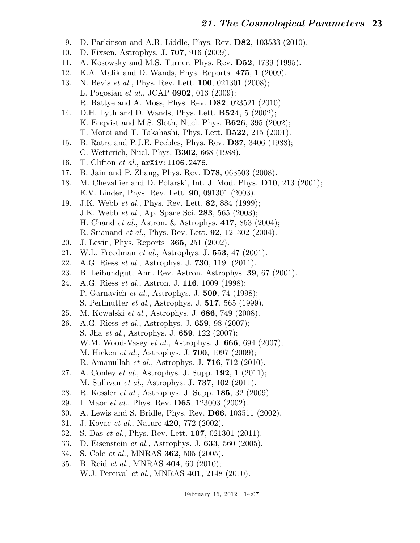- 9. D. Parkinson and A.R. Liddle, Phys. Rev. D82, 103533 (2010).
- 10. D. Fixsen, Astrophys. J. 707, 916 (2009).
- 11. A. Kosowsky and M.S. Turner, Phys. Rev. D52, 1739 (1995).
- 12. K.A. Malik and D. Wands, Phys. Reports 475, 1 (2009).
- 13. N. Bevis *et al.*, Phys. Rev. Lett. 100, 021301 (2008); L. Pogosian *et al.*, JCAP 0902, 013 (2009); R. Battye and A. Moss, Phys. Rev. D82, 023521 (2010).
- 14. D.H. Lyth and D. Wands, Phys. Lett. B524, 5 (2002); K. Enqvist and M.S. Sloth, Nucl. Phys. B626, 395 (2002); T. Moroi and T. Takahashi, Phys. Lett. B522, 215 (2001).
- 15. B. Ratra and P.J.E. Peebles, Phys. Rev. D37, 3406 (1988); C. Wetterich, Nucl. Phys. B302, 668 (1988).
- 16. T. Clifton *et al.*, arXiv:1106.2476.
- 17. B. Jain and P. Zhang, Phys. Rev. D78, 063503 (2008).
- 18. M. Chevallier and D. Polarski, Int. J. Mod. Phys. D10, 213 (2001); E.V. Linder, Phys. Rev. Lett. 90, 091301 (2003).
- 19. J.K. Webb *et al.*, Phys. Rev. Lett. 82, 884 (1999); J.K. Webb *et al.*, Ap. Space Sci. 283, 565 (2003); H. Chand *et al.*, Astron. & Astrophys. 417, 853 (2004); R. Srianand *et al.*, Phys. Rev. Lett. 92, 121302 (2004).
- 20. J. Levin, Phys. Reports 365, 251 (2002).
- 21. W.L. Freedman *et al.*, Astrophys. J. 553, 47 (2001).
- 22. A.G. Riess *et al.*, Astrophys. J. 730, 119 (2011).
- 23. B. Leibundgut, Ann. Rev. Astron. Astrophys. 39, 67 (2001).
- 24. A.G. Riess *et al.*, Astron. J. 116, 1009 (1998); P. Garnavich *et al.*, Astrophys. J. 509, 74 (1998); S. Perlmutter *et al.*, Astrophys. J. 517, 565 (1999).
- 25. M. Kowalski *et al.*, Astrophys. J. 686, 749 (2008).
- 26. A.G. Riess *et al.*, Astrophys. J. 659, 98 (2007); S. Jha *et al.*, Astrophys. J. 659, 122 (2007); W.M. Wood-Vasey *et al.*, Astrophys. J. 666, 694 (2007); M. Hicken *et al.*, Astrophys. J. 700, 1097 (2009); R. Amanullah *et al.*, Astrophys. J. 716, 712 (2010).
- 27. A. Conley *et al.*, Astrophys. J. Supp. 192, 1 (2011); M. Sullivan *et al.*, Astrophys. J. 737, 102 (2011).
- 28. R. Kessler *et al.*, Astrophys. J. Supp. 185, 32 (2009).
- 29. I. Maor *et al.*, Phys. Rev. D65, 123003 (2002).
- 30. A. Lewis and S. Bridle, Phys. Rev. D66, 103511 (2002).
- 31. J. Kovac *et al.*, Nature 420, 772 (2002).
- 32. S. Das *et al.*, Phys. Rev. Lett. 107, 021301 (2011).
- 33. D. Eisenstein *et al.*, Astrophys. J. 633, 560 (2005).
- 34. S. Cole *et al.*, MNRAS 362, 505 (2005).
- 35. B. Reid *et al.*, MNRAS 404, 60 (2010); W.J. Percival *et al.*, MNRAS 401, 2148 (2010).